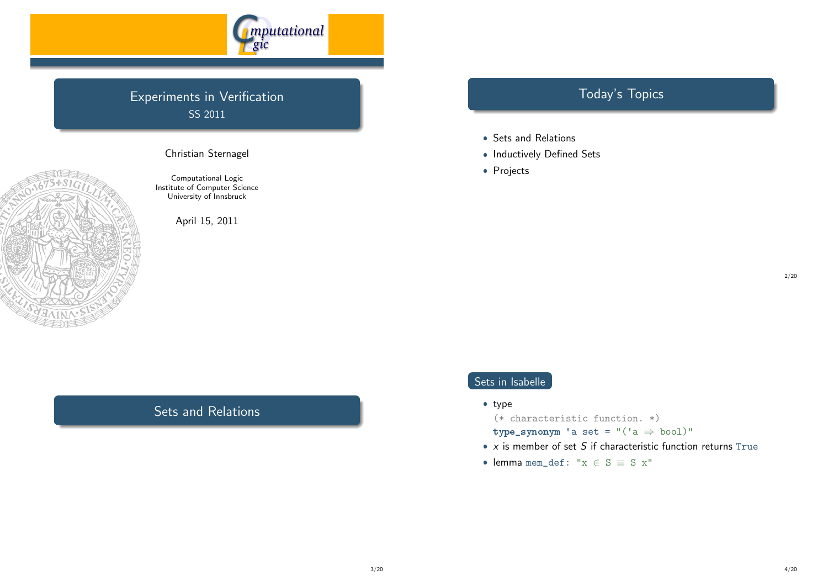

# Experiments in Verification SS 2011



Christian Sternagel

Computational Logic Institute of Computer Science University of Innsbruck

April 15, 2011

# Today's Topics

- Sets and Relations
- Inductively Defined Sets
- Projects

2/20

# Sets in Isabelle

• type

(\* characteristic function. \*)

- type\_synonym 'a set =  $"('a \Rightarrow bool)"$
- $\bullet\,$  x is member of set  $S$  if characteristic function returns  $\text{True}$
- lemma mem\_def: " $x \in S \equiv S x$ "

# Sets and Relations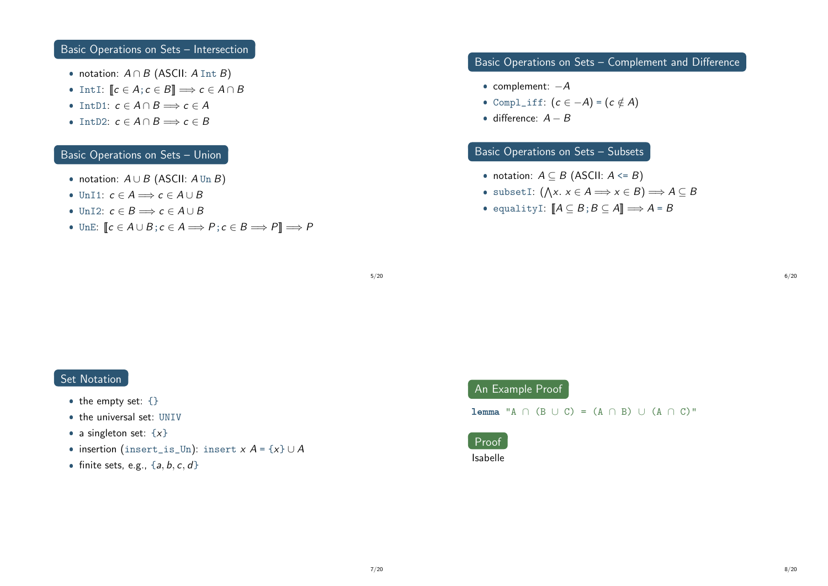### Basic Operations on Sets – Intersection

- notation:  $A \cap B$  (ASCII:  $A \text{Int } B$ )
- IntI:  $\llbracket c \in A; c \in B \rrbracket \Longrightarrow c \in A \cap B$
- IntD1:  $c \in A \cap B \Longrightarrow c \in A$
- IntD2:  $c \in A \cap B \Longrightarrow c \in B$

### Basic Operations on Sets – Union

- notation:  $A \cup B$  (ASCII:  $A \text{Un } B$ )
- UnI1:  $c \in A \Longrightarrow c \in A \cup B$
- UnI2:  $c \in B \Longrightarrow c \in A \cup B$
- UnE:  $[ c \in A \cup B; c \in A \Longrightarrow P; c \in B \Longrightarrow P ] \Longrightarrow P$

# Basic Operations on Sets – Complement and Difference

- complement:  $-A$
- Compl\_iff:  $(c \in -A) = (c \notin A)$
- $\bullet$  difference:  $A B$

# Basic Operations on Sets – Subsets

- notation:  $A \subseteq B$  (ASCII:  $A \leq B$ )
- subsetI:  $(\bigwedge x. x \in A \Longrightarrow x \in B) \Longrightarrow A \subseteq B$
- equalityI:  $\llbracket A \subseteq B$ ;  $B \subseteq A \rrbracket \Longrightarrow A = B$

5/20

# Set Notation

- the empty set:  $\{\}$
- the universal set: UNIV
- a singleton set:  $\{x\}$
- insertion (insert\_is\_Un): insert  $x A = \{x\} \cup A$
- finite sets, e.g.,  $\{a, b, c, d\}$

# An Example Proof

lemma "A ∩ (B ∪ C) = (A ∩ B) ∪ (A ∩ C)"

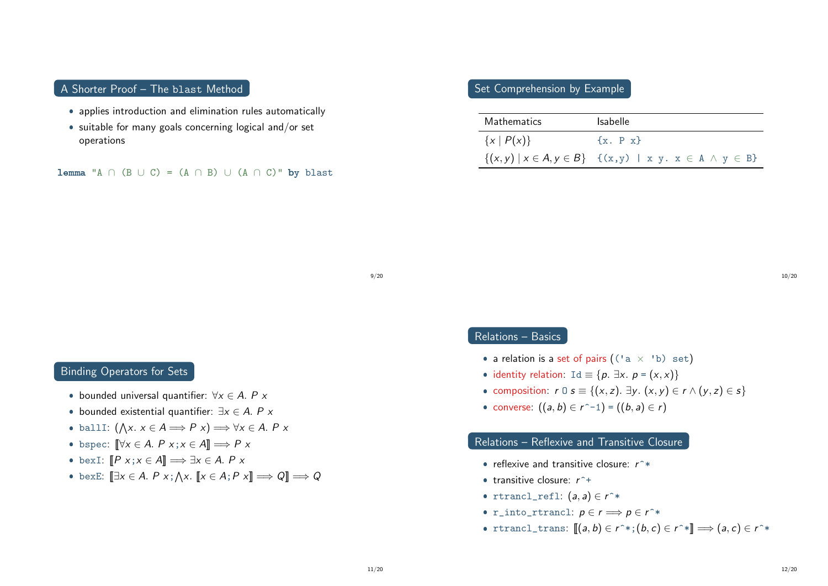#### A Shorter Proof – The blast Method

- applies introduction and elimination rules automatically
- suitable for many goals concerning logical and/or set operations

lemma "A ∩ (B ∪ C) = (A ∩ B) ∪ (A ∩ C)" by blast

### Set Comprehension by Example

| Mathematics        | <b>Isabelle</b>                                                                    |
|--------------------|------------------------------------------------------------------------------------|
| $\{x \mid P(x)\}\$ | $\{x. \, P \, x\}$                                                                 |
|                    | $\{(x,y) \mid x \in A, y \in B\}$ $\{(x,y) \mid x \mid y, x \in A \land y \in B\}$ |

9/20

#### Binding Operators for Sets

- bounded universal quantifier:  $\forall x \in A$ . P x
- bounded existential quantifier:  $\exists x \in A$ . P x
- ballI:  $(\bigwedge x. x \in A \Longrightarrow P x) \Longrightarrow \forall x \in A. P x$
- bspec:  $[\![\forall x \in A \colon P \times x; x \in A]\!] \Longrightarrow P \times P$
- bexI:  $[P \ x; x \in A] \Longrightarrow \exists x \in A. \ P \ x$
- bexE:  $[\exists x \in A. P x; \land x. [x \in A; P x] \Longrightarrow Q] \Longrightarrow Q$

#### Relations – Basics

- a relation is a set of pairs  $((a \times b)$  set)
- identity relation: Id  $\equiv \{p. \exists x. p = (x, x)\}\;$
- composition:  $r \circ s \equiv \{(x, z) \text{. } \exists y \in (x, y) \in r \land (y, z) \in s\}$
- converse:  $((a, b) \in r^{\sim} 1) = ((b, a) \in r)$

#### Relations – Reflexive and Transitive Closure

- reflexive and transitive closure:  $r^*$
- transitive closure:  $r^+$
- rtrancl\_refl:  $(a, a) \in r^*$
- r\_into\_rtrancl:  $p \in r \Longrightarrow p \in r^*$
- rtrancl\_trans:  $[(a, b) \in r^*; (b, c) \in r^*] \Longrightarrow (a, c) \in r^*$

10/20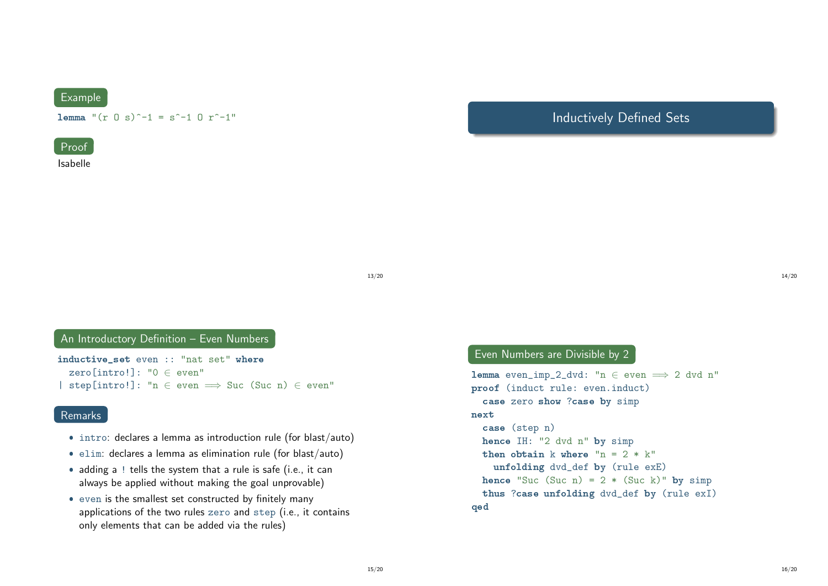# Example

lemma " $(r \cap s)^{-1} = s^{-1} \cap r^{-1}$ "



Isabelle

# Inductively Defined Sets

13/20

# An Introductory Definition - Even Numbers

inductive\_set even :: "nat set" where zero[intro!]: "0 ∈ even" | step[intro!]: "n  $\in$  even  $\implies$  Suc (Suc n)  $\in$  even"

#### Remarks

- intro: declares a lemma as introduction rule (for blast/auto)
- $\bullet$  elim: declares a lemma as elimination rule (for blast/auto)
- adding a ! tells the system that a rule is safe (i.e., it can always be applied without making the goal unprovable)
- even is the smallest set constructed by finitely many applications of the two rules zero and step (i.e., it contains only elements that can be added via the rules)

#### Even Numbers are Divisible by 2

```
lemma even_imp_2_dvd: "n \in even \implies 2 dvd n"
proof (induct rule: even.induct)
  case zero show ?case by simp
next
  case (step n)
  hence IH: "2 dvd n" by simp
  then obtain k where "n = 2 * k"
    unfolding dvd_def by (rule exE)
  hence "Suc (Suc n) = 2 * (Suc k)" by simp
 thus ?case unfolding dvd_def by (rule exI)
qed
```